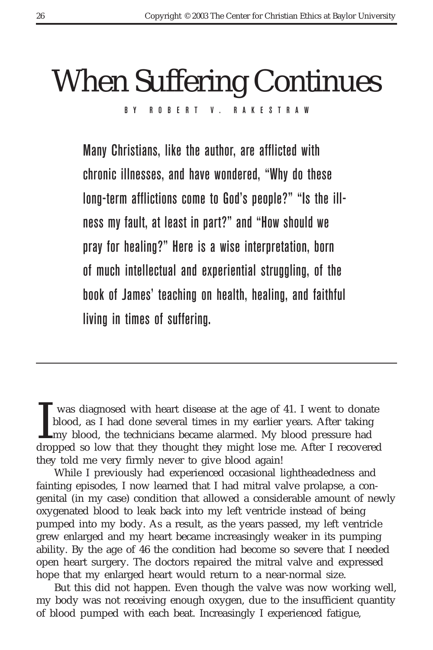# When Suffering Continues BY ROBERT V. RAKESTRAW

Many Christians, like the author, are afflicted with chronic illnesses, and have wondered, "Why do these long-term afflictions come to God's people?" "Is the illness my fault, at least in part?" and "How should we pray for healing?" Here is a wise interpretation, born of much intellectual and experiential struggling, of the book of James' teaching on health, healing, and faithful living in times of suffering.

was diagnosed with heart disease at the age of 41. I went to donate blood, as I had done several times in my earlier years. After taking my blood, the technicians became alarmed. My blood pressure had dropped so low that t was diagnosed with heart disease at the age of 41. I went to donate blood, as I had done several times in my earlier years. After taking Lmy blood, the technicians became alarmed. My blood pressure had they told me very firmly never to give blood again!

While I previously had experienced occasional lightheadedness and fainting episodes, I now learned that I had mitral valve prolapse, a congenital (in my case) condition that allowed a considerable amount of newly oxygenated blood to leak back into my left ventricle instead of being pumped into my body. As a result, as the years passed, my left ventricle grew enlarged and my heart became increasingly weaker in its pumping ability. By the age of 46 the condition had become so severe that I needed open heart surgery. The doctors repaired the mitral valve and expressed hope that my enlarged heart would return to a near-normal size.

But this did not happen. Even though the valve was now working well, my body was not receiving enough oxygen, due to the insufficient quantity of blood pumped with each beat. Increasingly I experienced fatigue,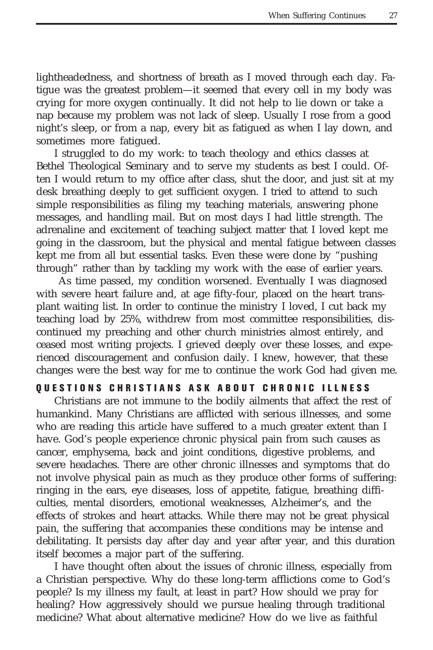lightheadedness, and shortness of breath as I moved through each day. Fatigue was the greatest problem—it seemed that every cell in my body was crying for more oxygen continually. It did not help to lie down or take a nap because my problem was not lack of sleep. Usually I rose from a good night's sleep, or from a nap, every bit as fatigued as when I lay down, and sometimes more fatigued.

I struggled to do my work: to teach theology and ethics classes at Bethel Theological Seminary and to serve my students as best I could. Often I would return to my office after class, shut the door, and just sit at my desk breathing deeply to get sufficient oxygen. I tried to attend to such simple responsibilities as filing my teaching materials, answering phone messages, and handling mail. But on most days I had little strength. The adrenaline and excitement of teaching subject matter that I loved kept me going in the classroom, but the physical and mental fatigue between classes kept me from all but essential tasks. Even these were done by "pushing through" rather than by tackling my work with the ease of earlier years.

 As time passed, my condition worsened. Eventually I was diagnosed with severe heart failure and, at age fifty-four, placed on the heart transplant waiting list. In order to continue the ministry I loved, I cut back my teaching load by 25%, withdrew from most committee responsibilities, discontinued my preaching and other church ministries almost entirely, and ceased most writing projects. I grieved deeply over these losses, and experienced discouragement and confusion daily. I knew, however, that these changes were the best way for me to continue the work God had given me.

## **QUESTIONS CHRISTIANS ASK ABOUT CHRONIC ILLNESS**

Christians are not immune to the bodily ailments that affect the rest of humankind. Many Christians are afflicted with serious illnesses, and some who are reading this article have suffered to a much greater extent than I have. God's people experience chronic physical pain from such causes as cancer, emphysema, back and joint conditions, digestive problems, and severe headaches. There are other chronic illnesses and symptoms that do not involve physical pain as much as they produce other forms of suffering: ringing in the ears, eye diseases, loss of appetite, fatigue, breathing difficulties, mental disorders, emotional weaknesses, Alzheimer's, and the effects of strokes and heart attacks. While there may not be great physical pain, the suffering that accompanies these conditions may be intense and debilitating. It persists day after day and year after year, and this duration itself becomes a major part of the suffering.

I have thought often about the issues of chronic illness, especially from a Christian perspective. Why do these long-term afflictions come to God's people? Is my illness my fault, at least in part? How should we pray for healing? How aggressively should we pursue healing through traditional medicine? What about alternative medicine? How do we live as faithful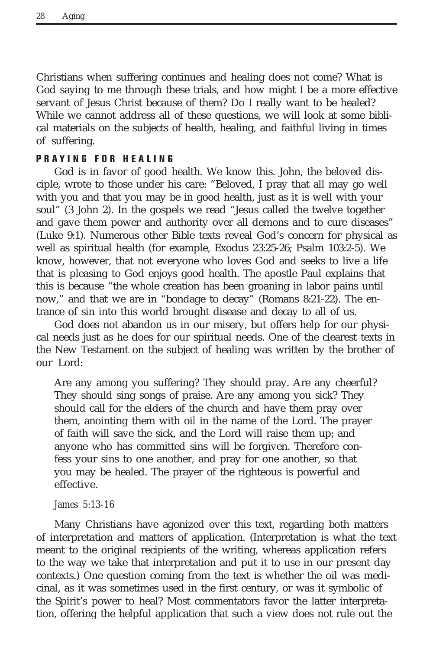Christians when suffering continues and healing does not come? What is God saying to me through these trials, and how might I be a more effective servant of Jesus Christ because of them? Do I really want to be healed? While we cannot address all of these questions, we will look at some biblical materials on the subjects of health, healing, and faithful living in times of suffering.

# **PRAYING FOR HEALING**

God is in favor of good health. We know this. John, the beloved disciple, wrote to those under his care: "Beloved, I pray that all may go well with you and that you may be in good health, just as it is well with your soul" (3 John 2). In the gospels we read "Jesus called the twelve together and gave them power and authority over all demons and to cure diseases" (Luke 9:1). Numerous other Bible texts reveal God's concern for physical as well as spiritual health (for example, Exodus 23:25-26; Psalm 103:2-5). We know, however, that not everyone who loves God and seeks to live a life that is pleasing to God enjoys good health. The apostle Paul explains that this is because "the whole creation has been groaning in labor pains until now," and that we are in "bondage to decay" (Romans 8:21-22). The entrance of sin into this world brought disease and decay to all of us.

God does not abandon us in our misery, but offers help for our physical needs just as he does for our spiritual needs. One of the clearest texts in the New Testament on the subject of healing was written by the brother of our Lord:

Are any among you suffering? They should pray. Are any cheerful? They should sing songs of praise. Are any among you sick? They should call for the elders of the church and have them pray over them, anointing them with oil in the name of the Lord. The prayer of faith will save the sick, and the Lord will raise them up; and anyone who has committed sins will be forgiven. Therefore confess your sins to one another, and pray for one another, so that you may be healed. The prayer of the righteous is powerful and effective.

#### *James 5:13-16*

Many Christians have agonized over this text, regarding both matters of interpretation and matters of application. (Interpretation is what the text meant to the original recipients of the writing, whereas application refers to the way we take that interpretation and put it to use in our present day contexts.) One question coming from the text is whether the oil was medicinal, as it was sometimes used in the first century, or was it symbolic of the Spirit's power to heal? Most commentators favor the latter interpretation, offering the helpful application that such a view does not rule out the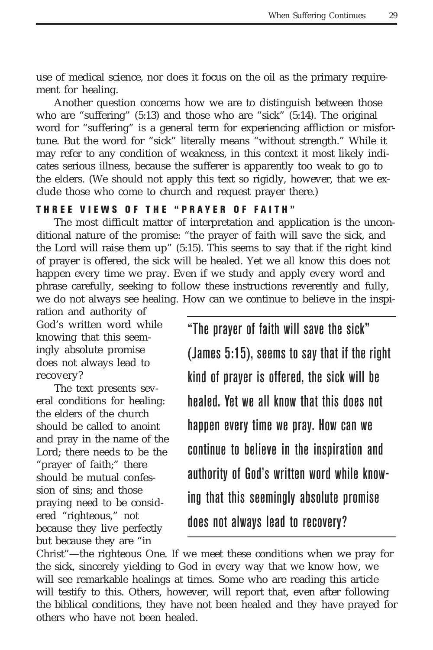use of medical science, nor does it focus on the oil as the primary requirement for healing.

Another question concerns how we are to distinguish between those who are "suffering" (5:13) and those who are "sick" (5:14). The original word for "suffering" is a general term for experiencing affliction or misfortune. But the word for "sick" literally means "without strength." While it may refer to any condition of weakness, in this context it most likely indicates serious illness, because the sufferer is apparently too weak to go to the elders. (We should not apply this text so rigidly, however, that we exclude those who come to church and request prayer there.)

## **THREE VIEWS OF THE "PRAYER OF FAITH"**

The most difficult matter of interpretation and application is the unconditional nature of the promise: "the prayer of faith will save the sick, and the Lord will raise them up" (5:15). This seems to say that if the right kind of prayer is offered, the sick will be healed. Yet we all know this does not happen every time we pray. Even if we study and apply every word and phrase carefully, seeking to follow these instructions reverently and fully, we do not always see healing. How can we continue to believe in the inspi-

ration and authority of God's written word while knowing that this seemingly absolute promise does not always lead to recovery?

The text presents several conditions for healing: the elders of the church should be called to anoint and pray in the name of the Lord; there needs to be the "prayer of faith;" there should be mutual confession of sins; and those praying need to be considered "righteous," not because they live perfectly but because they are "in

"The prayer of faith will save the sick"

(James 5:15), seems to say that if the right kind of prayer is offered, the sick will be healed. Yet we all know that this does not happen every time we pray. How can we continue to believe in the inspiration and authority of God's written word while knowing that this seemingly absolute promise does not always lead to recovery?

Christ"—the righteous One. If we meet these conditions when we pray for the sick, sincerely yielding to God in every way that we know how, we will see remarkable healings at times. Some who are reading this article will testify to this. Others, however, will report that, even after following the biblical conditions, they have not been healed and they have prayed for others who have not been healed.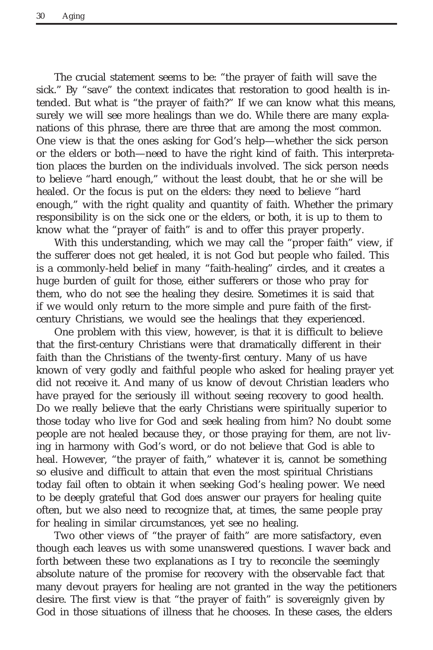The crucial statement seems to be: "the prayer of faith will save the sick." By "save" the context indicates that restoration to good health is intended. But what is "the prayer of faith?" If we can know what this means, surely we will see more healings than we do. While there are many explanations of this phrase, there are three that are among the most common. One view is that the ones asking for God's help—whether the sick person or the elders or both—need to have the right kind of faith. This interpretation places the burden on the individuals involved. The sick person needs to believe "hard enough," without the least doubt, that he or she will be healed. Or the focus is put on the elders: they need to believe "hard enough," with the right quality and quantity of faith. Whether the primary responsibility is on the sick one or the elders, or both, it is up to them to know what the "prayer of faith" is and to offer this prayer properly.

With this understanding, which we may call the "proper faith" view, if the sufferer does not get healed, it is not God but people who failed. This is a commonly-held belief in many "faith-healing" circles, and it creates a huge burden of guilt for those, either sufferers or those who pray for them, who do not see the healing they desire. Sometimes it is said that if we would only return to the more simple and pure faith of the firstcentury Christians, we would see the healings that they experienced.

One problem with this view, however, is that it is difficult to believe that the first-century Christians were that dramatically different in their faith than the Christians of the twenty-first century. Many of us have known of very godly and faithful people who asked for healing prayer yet did not receive it. And many of us know of devout Christian leaders who have prayed for the seriously ill without seeing recovery to good health. Do we really believe that the early Christians were spiritually superior to those today who live for God and seek healing from him? No doubt some people are not healed because they, or those praying for them, are not living in harmony with God's word, or do not believe that God is able to heal. However, "the prayer of faith," whatever it is, cannot be something so elusive and difficult to attain that even the most spiritual Christians today fail often to obtain it when seeking God's healing power. We need to be deeply grateful that God *does* answer our prayers for healing quite often, but we also need to recognize that, at times, the same people pray for healing in similar circumstances, yet see no healing.

Two other views of "the prayer of faith" are more satisfactory, even though each leaves us with some unanswered questions. I waver back and forth between these two explanations as I try to reconcile the seemingly absolute nature of the promise for recovery with the observable fact that many devout prayers for healing are not granted in the way the petitioners desire. The first view is that "the prayer of faith" is sovereignly given by God in those situations of illness that he chooses. In these cases, the elders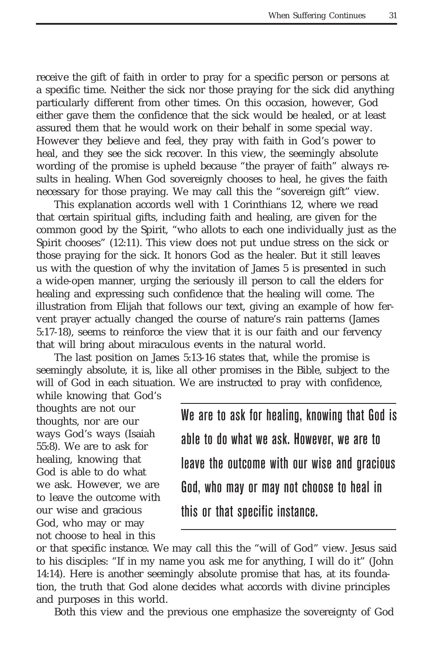receive the gift of faith in order to pray for a specific person or persons at a specific time. Neither the sick nor those praying for the sick did anything particularly different from other times. On this occasion, however, God either gave them the confidence that the sick would be healed, or at least assured them that he would work on their behalf in some special way. However they believe and feel, they pray with faith in God's power to heal, and they see the sick recover. In this view, the seemingly absolute wording of the promise is upheld because "the prayer of faith" always results in healing. When God sovereignly chooses to heal, he gives the faith necessary for those praying. We may call this the "sovereign gift" view.

This explanation accords well with 1 Corinthians 12, where we read that certain spiritual gifts, including faith and healing, are given for the common good by the Spirit, "who allots to each one individually just as the Spirit chooses" (12:11). This view does not put undue stress on the sick or those praying for the sick. It honors God as the healer. But it still leaves us with the question of why the invitation of James 5 is presented in such a wide-open manner, urging the seriously ill person to call the elders for healing and expressing such confidence that the healing will come. The illustration from Elijah that follows our text, giving an example of how fervent prayer actually changed the course of nature's rain patterns (James 5:17-18), seems to reinforce the view that it is our faith and our fervency that will bring about miraculous events in the natural world.

The last position on James 5:13-16 states that, while the promise is seemingly absolute, it is, like all other promises in the Bible, subject to the will of God in each situation. We are instructed to pray with confidence,

while knowing that God's thoughts are not our thoughts, nor are our ways God's ways (Isaiah 55:8). We are to ask for healing, knowing that God is able to do what we ask. However, we are to leave the outcome with our wise and gracious God, who may or may not choose to heal in this

We are to ask for healing, knowing that God is able to do what we ask. However, we are to leave the outcome with our wise and gracious God, who may or may not choose to heal in this or that specific instance.

or that specific instance. We may call this the "will of God" view. Jesus said to his disciples: "If in my name you ask me for anything, I will do it" (John 14:14). Here is another seemingly absolute promise that has, at its foundation, the truth that God alone decides what accords with divine principles and purposes in this world.

Both this view and the previous one emphasize the sovereignty of God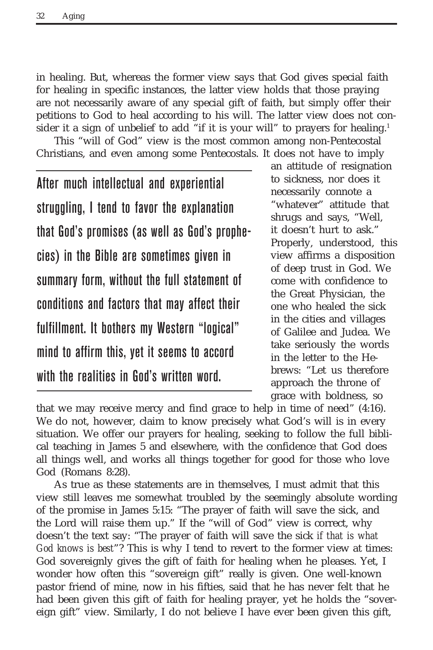in healing. But, whereas the former view says that God gives special faith for healing in specific instances, the latter view holds that those praying are not necessarily aware of any special gift of faith, but simply offer their petitions to God to heal according to his will. The latter view does not consider it a sign of unbelief to add "if it is your will" to prayers for healing.<sup>1</sup>

This "will of God" view is the most common among non-Pentecostal Christians, and even among some Pentecostals. It does not have to imply

After much intellectual and experiential struggling, I tend to favor the explanation that God's promises (as well as God's prophecies) in the Bible are sometimes given in summary form, without the full statement of conditions and factors that may affect their fulfillment. It bothers my Western "logical" mind to affirm this, yet it seems to accord with the realities in God's written word.

an attitude of resignation to sickness, nor does it necessarily connote a "whatever" attitude that shrugs and says, "Well, it doesn't hurt to ask." Properly, understood, this view affirms a disposition of deep trust in God. We come with confidence to the Great Physician, the one who healed the sick in the cities and villages of Galilee and Judea. We take seriously the words in the letter to the Hebrews: "Let us therefore approach the throne of grace with boldness, so

that we may receive mercy and find grace to help in time of need" (4:16). We do not, however, claim to know precisely what God's will is in every situation. We offer our prayers for healing, seeking to follow the full biblical teaching in James 5 and elsewhere, with the confidence that God does all things well, and works all things together for good for those who love God (Romans 8:28).

As true as these statements are in themselves, I must admit that this view still leaves me somewhat troubled by the seemingly absolute wording of the promise in James 5:15: "The prayer of faith will save the sick, and the Lord will raise them up." If the "will of God" view is correct, why doesn't the text say: "The prayer of faith will save the sick *if that is what God knows is best*"? This is why I tend to revert to the former view at times: God sovereignly gives the gift of faith for healing when he pleases. Yet, I wonder how often this "sovereign gift" really is given. One well-known pastor friend of mine, now in his fifties, said that he has never felt that he had been given this gift of faith for healing prayer, yet he holds the "sovereign gift" view. Similarly, I do not believe I have ever been given this gift,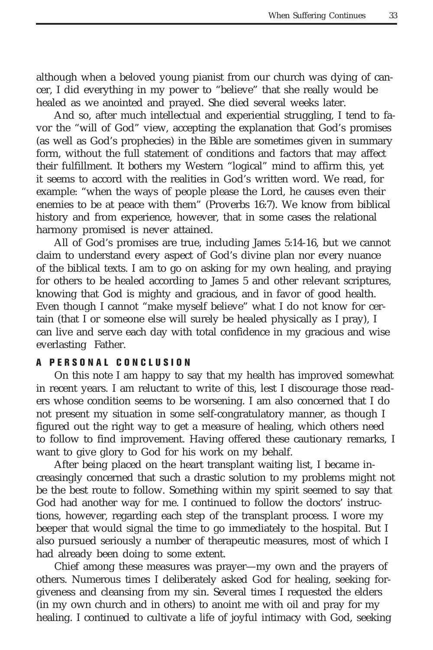although when a beloved young pianist from our church was dying of cancer, I did everything in my power to "believe" that she really would be healed as we anointed and prayed. She died several weeks later.

And so, after much intellectual and experiential struggling, I tend to favor the "will of God" view, accepting the explanation that God's promises (as well as God's prophecies) in the Bible are sometimes given in summary form, without the full statement of conditions and factors that may affect their fulfillment. It bothers my Western "logical" mind to affirm this, yet it seems to accord with the realities in God's written word. We read, for example: "when the ways of people please the Lord, he causes even their enemies to be at peace with them" (Proverbs 16:7). We know from biblical history and from experience, however, that in some cases the relational harmony promised is never attained.

All of God's promises are true, including James 5:14-16, but we cannot claim to understand every aspect of God's divine plan nor every nuance of the biblical texts. I am to go on asking for my own healing, and praying for others to be healed according to James 5 and other relevant scriptures, knowing that God is mighty and gracious, and in favor of good health. Even though I cannot "make myself believe" what I do not know for certain (that I or someone else will surely be healed physically as I pray), I can live and serve each day with total confidence in my gracious and wise everlasting Father.

## **A PERSONAL CONCLUSION**

On this note I am happy to say that my health has improved somewhat in recent years. I am reluctant to write of this, lest I discourage those readers whose condition seems to be worsening. I am also concerned that I do not present my situation in some self-congratulatory manner, as though I figured out the right way to get a measure of healing, which others need to follow to find improvement. Having offered these cautionary remarks, I want to give glory to God for his work on my behalf.

After being placed on the heart transplant waiting list, I became increasingly concerned that such a drastic solution to my problems might not be the best route to follow. Something within my spirit seemed to say that God had another way for me. I continued to follow the doctors' instructions, however, regarding each step of the transplant process. I wore my beeper that would signal the time to go immediately to the hospital. But I also pursued seriously a number of therapeutic measures, most of which I had already been doing to some extent.

Chief among these measures was prayer—my own and the prayers of others. Numerous times I deliberately asked God for healing, seeking forgiveness and cleansing from my sin. Several times I requested the elders (in my own church and in others) to anoint me with oil and pray for my healing. I continued to cultivate a life of joyful intimacy with God, seeking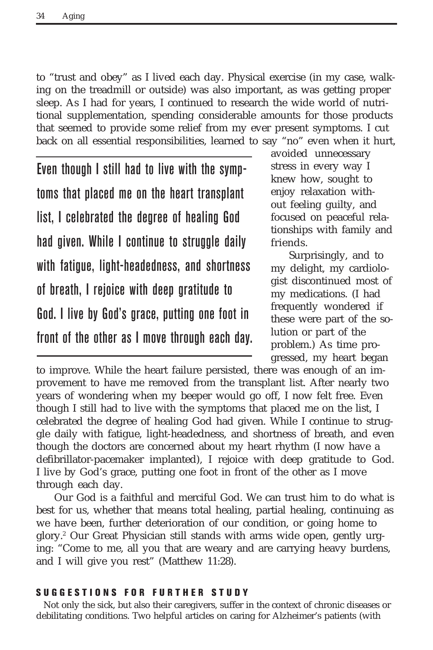to "trust and obey" as I lived each day. Physical exercise (in my case, walking on the treadmill or outside) was also important, as was getting proper sleep. As I had for years, I continued to research the wide world of nutritional supplementation, spending considerable amounts for those products that seemed to provide some relief from my ever present symptoms. I cut back on all essential responsibilities, learned to say "no" even when it hurt,

Even though I still had to live with the symptoms that placed me on the heart transplant list, I celebrated the degree of healing God had given. While I continue to struggle daily with fatigue, light-headedness, and shortness of breath, I rejoice with deep gratitude to God. I live by God's grace, putting one foot in front of the other as I move through each day. avoided unnecessary stress in every way I knew how, sought to enjoy relaxation without feeling guilty, and focused on peaceful relationships with family and friends.

Surprisingly, and to my delight, my cardiologist discontinued most of my medications. (I had frequently wondered if these were part of the solution or part of the problem.) As time progressed, my heart began

to improve. While the heart failure persisted, there was enough of an improvement to have me removed from the transplant list. After nearly two years of wondering when my beeper would go off, I now felt free. Even though I still had to live with the symptoms that placed me on the list, I celebrated the degree of healing God had given. While I continue to struggle daily with fatigue, light-headedness, and shortness of breath, and even though the doctors are concerned about my heart rhythm (I now have a defibrillator-pacemaker implanted), I rejoice with deep gratitude to God. I live by God's grace, putting one foot in front of the other as I move through each day.

Our God is a faithful and merciful God. We can trust him to do what is best for us, whether that means total healing, partial healing, continuing as we have been, further deterioration of our condition, or going home to glory.2 Our Great Physician still stands with arms wide open, gently urging: "Come to me, all you that are weary and are carrying heavy burdens, and I will give you rest" (Matthew 11:28).

### **SUGGESTIONS FOR FURTHER STUDY**

Not only the sick, but also their caregivers, suffer in the context of chronic diseases or debilitating conditions. Two helpful articles on caring for Alzheimer's patients (with